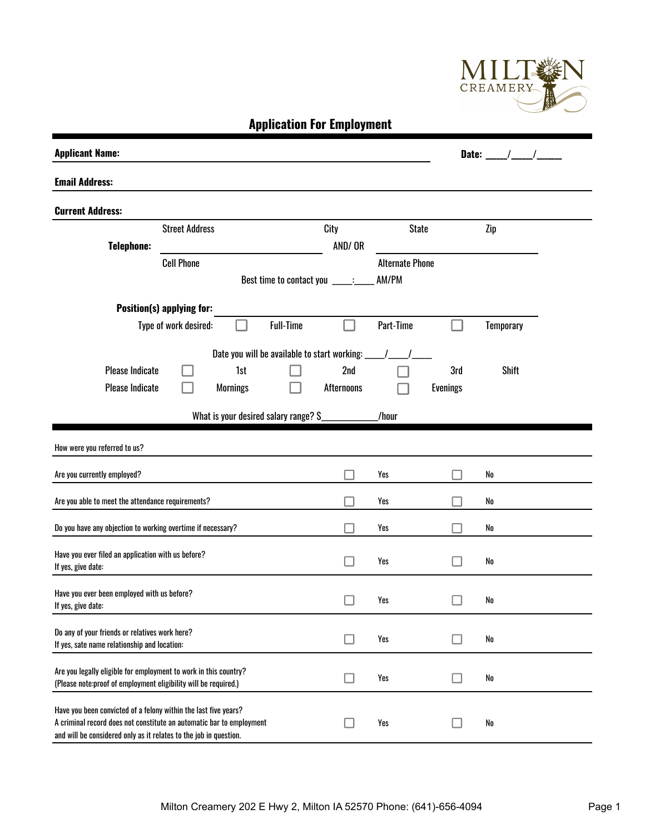

**Application For Employment** 

| <b>Applicant Name:</b>                                                                                                                                                                                       |                       |                 |                                              |                   |                        |                 | Date: $\overline{\phantom{a}}$ |  |
|--------------------------------------------------------------------------------------------------------------------------------------------------------------------------------------------------------------|-----------------------|-----------------|----------------------------------------------|-------------------|------------------------|-----------------|--------------------------------|--|
| <b>Email Address:</b>                                                                                                                                                                                        |                       |                 |                                              |                   |                        |                 |                                |  |
| <b>Current Address:</b>                                                                                                                                                                                      |                       |                 |                                              |                   |                        |                 |                                |  |
|                                                                                                                                                                                                              | <b>Street Address</b> |                 |                                              | City              | <b>State</b>           |                 | Zip                            |  |
| <b>Telephone:</b>                                                                                                                                                                                            |                       |                 |                                              | AND/OR            |                        |                 |                                |  |
|                                                                                                                                                                                                              | <b>Cell Phone</b>     |                 |                                              |                   | <b>Alternate Phone</b> |                 |                                |  |
|                                                                                                                                                                                                              |                       |                 | Best time to contact you ____:__             |                   | AM/PM                  |                 |                                |  |
| Position(s) applying for:                                                                                                                                                                                    |                       |                 |                                              |                   |                        |                 |                                |  |
|                                                                                                                                                                                                              | Type of work desired: |                 | <b>Full-Time</b>                             |                   | Part-Time              |                 | <b>Temporary</b>               |  |
|                                                                                                                                                                                                              |                       |                 | Date you will be available to start working: |                   |                        |                 |                                |  |
| <b>Please Indicate</b>                                                                                                                                                                                       |                       | 1st             |                                              | 2nd               |                        | 3rd             | <b>Shift</b>                   |  |
| <b>Please Indicate</b>                                                                                                                                                                                       |                       | <b>Mornings</b> |                                              | <b>Afternoons</b> |                        | <b>Evenings</b> |                                |  |
|                                                                                                                                                                                                              |                       |                 |                                              |                   |                        |                 |                                |  |
|                                                                                                                                                                                                              |                       |                 | What is your desired salary range? S         |                   | /hour                  |                 |                                |  |
| How were you referred to us?                                                                                                                                                                                 |                       |                 |                                              |                   |                        |                 |                                |  |
| Are you currently employed?                                                                                                                                                                                  |                       |                 |                                              |                   | Yes                    |                 | No                             |  |
| Are you able to meet the attendance requirements?                                                                                                                                                            |                       |                 |                                              |                   | Yes                    |                 | No                             |  |
| Do you have any objection to working overtime if necessary?                                                                                                                                                  |                       |                 |                                              |                   | Yes                    |                 | No                             |  |
| Have you ever filed an application with us before?<br>If yes, give date:                                                                                                                                     |                       |                 |                                              |                   | Yes                    |                 | No                             |  |
| Have you ever been employed with us before?<br>If yes, give date:                                                                                                                                            |                       |                 |                                              |                   | Yes                    |                 | No                             |  |
| Do any of your friends or relatives work here?<br>If yes, sate name relationship and location:                                                                                                               |                       |                 |                                              | LΙ                | Yes                    | H               | No                             |  |
| Are you legally eligible for employment to work in this country?<br>(Please note:proof of employment eligibility will be required.)                                                                          |                       |                 |                                              | - 1               | Yes                    |                 | No                             |  |
| Have you been convicted of a felony within the last five years?<br>A criminal record does not constitute an automatic bar to employment<br>and will be considered only as it relates to the job in question. |                       |                 |                                              |                   | Yes                    |                 | No                             |  |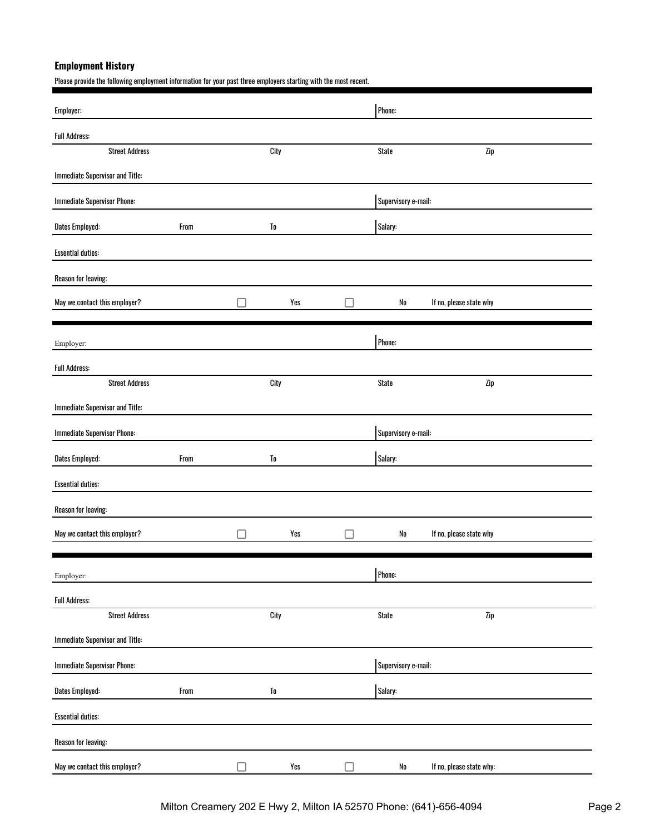# **Employment History**

Please provide the following employment information for your past three employers starting with the most recent.

| Employer:                              |      |                  |                     |                     | Phone:              |                          |
|----------------------------------------|------|------------------|---------------------|---------------------|---------------------|--------------------------|
| <b>Full Address:</b>                   |      |                  |                     |                     |                     |                          |
| <b>Street Address</b>                  |      | City             |                     |                     | <b>State</b>        | Zip                      |
| <b>Immediate Supervisor and Title:</b> |      |                  |                     |                     |                     |                          |
| <b>Immediate Supervisor Phone:</b>     |      |                  | Supervisory e-mail: |                     |                     |                          |
| Dates Employed:                        | From | To               |                     |                     | Salary:             |                          |
| <b>Essential duties:</b>               |      |                  |                     |                     |                     |                          |
| Reason for leaving:                    |      |                  |                     |                     |                     |                          |
| May we contact this employer?          |      |                  | Yes                 |                     | ${\sf No}$          | If no, please state why  |
|                                        |      |                  |                     |                     |                     |                          |
| Employer:                              |      |                  |                     |                     | Phone:              |                          |
| <b>Full Address:</b>                   |      |                  |                     |                     |                     |                          |
| <b>Street Address</b>                  |      | City             |                     |                     | <b>State</b>        | Zip                      |
| <b>Immediate Supervisor and Title:</b> |      |                  |                     |                     |                     |                          |
| <b>Immediate Supervisor Phone:</b>     |      |                  |                     | Supervisory e-mail: |                     |                          |
| <b>Dates Employed:</b>                 | From | To               |                     |                     | Salary:             |                          |
| <b>Essential duties:</b>               |      |                  |                     |                     |                     |                          |
| Reason for leaving:                    |      |                  |                     |                     |                     |                          |
| May we contact this employer?          |      |                  | Yes                 |                     | No                  | If no, please state why  |
|                                        |      |                  |                     |                     |                     |                          |
| Employer:                              |      |                  |                     |                     | Phone:              |                          |
| <b>Full Address:</b>                   |      |                  |                     |                     |                     |                          |
| <b>Street Address</b>                  |      | City             |                     |                     | <b>State</b>        | Zip                      |
| <b>Immediate Supervisor and Title:</b> |      |                  |                     |                     |                     |                          |
| <b>Immediate Supervisor Phone:</b>     |      |                  |                     |                     | Supervisory e-mail: |                          |
| Dates Employed:                        | From | ${\bf T}{\bf 0}$ |                     |                     | Salary:             |                          |
| <b>Essential duties:</b>               |      |                  |                     |                     |                     |                          |
| Reason for leaving:                    |      |                  |                     |                     |                     |                          |
| May we contact this employer?          |      | $\Box$           | Yes                 |                     | ${\sf No}$          | If no, please state why: |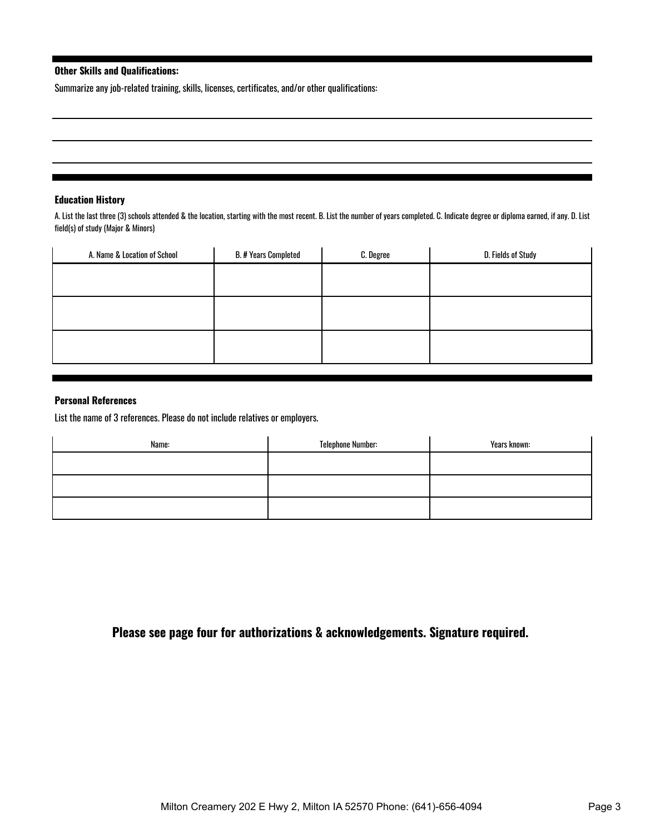## **Other Skills and Qualifications:**

Summarize any job-related training, skills, licenses, certificates, and/or other qualifications:

#### **Education History**

A. List the last three (3) schools attended & the location, starting with the most recent. B. List the number of years completed. C. Indicate degree or diploma earned, if any. D. List field(s) of study (Major & Minors)

|  | D. Fields of Study |
|--|--------------------|
|  |                    |
|  |                    |
|  |                    |
|  |                    |
|  |                    |
|  |                    |
|  |                    |

### **Personal References**

List the name of 3 references. Please do not include relatives or employers.

| Name: | <b>Telephone Number:</b> | Years known: |
|-------|--------------------------|--------------|
|       |                          |              |
|       |                          |              |
|       |                          |              |
|       |                          |              |

**Please see page four for authorizations & acknowledgements. Signature required.**